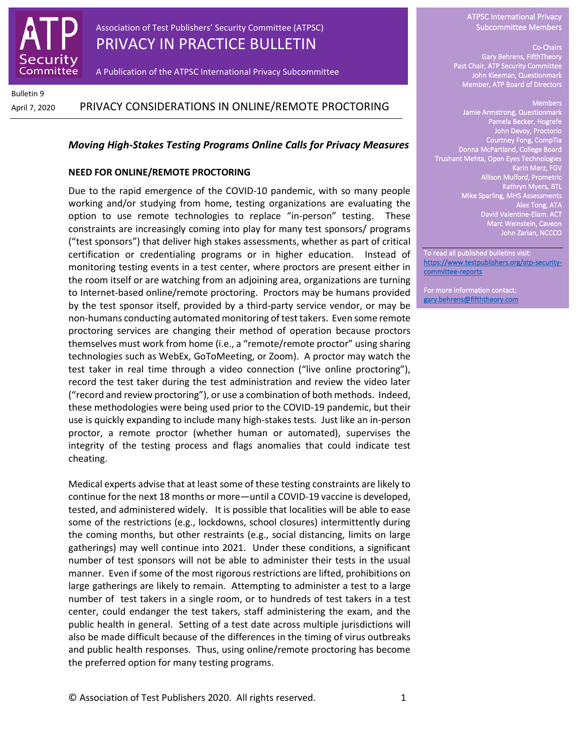

Association of Test Publishers' Security Committee (ATPSC) PRIVACY IN PRACTICE BULLETIN

A Publication of the ATPSC International Privacy Subcommittee

Bulletin 9

# April 7, 2020 PRIVACY CONSIDERATIONS IN ONLINE/REMOTE PROCTORING

### *Moving High-Stakes Testing Programs Online Calls for Privacy Measures*

#### **NEED FOR ONLINE/REMOTE PROCTORING**

Due to the rapid emergence of the COVID-10 pandemic, with so many people working and/or studying from home, testing organizations are evaluating the option to use remote technologies to replace "in-person" testing. These constraints are increasingly coming into play for many test sponsors/ programs ("test sponsors") that deliver high stakes assessments, whether as part of critical certification or credentialing programs or in higher education. Instead of monitoring testing events in a test center, where proctors are present either in the room itself or are watching from an adjoining area, organizations are turning to Internet-based online/remote proctoring. Proctors may be humans provided by the test sponsor itself, provided by a third-party service vendor, or may be non-humans conducting automated monitoring of test takers. Even some remote proctoring services are changing their method of operation because proctors themselves must work from home (i.e., a "remote/remote proctor" using sharing technologies such as WebEx, GoToMeeting, or Zoom). A proctor may watch the test taker in real time through a video connection ("live online proctoring"), record the test taker during the test administration and review the video later ("record and review proctoring"), or use a combination of both methods. Indeed, these methodologies were being used prior to the COVID-19 pandemic, but their use is quickly expanding to include many high-stakes tests. Just like an in-person proctor, a remote proctor (whether human or automated), supervises the integrity of the testing process and flags anomalies that could indicate test cheating.

Medical experts advise that at least some of these testing constraints are likely to continue for the next 18 months or more—until a COVID-19 vaccine is developed, tested, and administered widely. It is possible that localities will be able to ease some of the restrictions (e.g., lockdowns, school closures) intermittently during the coming months, but other restraints (e.g., social distancing, limits on large gatherings) may well continue into 2021. Under these conditions, a significant number of test sponsors will not be able to administer their tests in the usual manner. Even if some of the most rigorous restrictions are lifted, prohibitions on large gatherings are likely to remain. Attempting to administer a test to a large number of test takers in a single room, or to hundreds of test takers in a test center, could endanger the test takers, staff administering the exam, and the public health in general. Setting of a test date across multiple jurisdictions will also be made difficult because of the differences in the timing of virus outbreaks and public health responses. Thus, using online/remote proctoring has become the preferred option for many testing programs.

ATPSC International Privacy Subcommittee Members

#### Co-Chairs

Gary Behrens, FifthTheory Past Chair, ATP Security Committee John Kleeman, Questionmark Member, ATP Board of Directors

#### Members

Jamie Armstrong, Questionmark Pamela Becker, Hogrefe John Devoy, Proctorio Courtney Fong, CompTia Donna McPartland, College Board Trushant Mehta, Open Eyes Technologies Karin Merz, FGV Allison Mulford, Prometric Kathryn Myers, BTL Mike Sparling, MHS Assessments Alex Tong, ATA David Valentine-Elam. ACT Marc Weinstein, Caveon John Zarian, NCCCO

To read all published bulletins visit: [https://www.testpublishers.org/atp-security](https://www.testpublishers.org/atp-security-committee-reports)[committee-reports](https://www.testpublishers.org/atp-security-committee-reports) 

For more information contact: [gary.behrens@fifththeory.com](mailto:gary.behrens@fifththeory.com)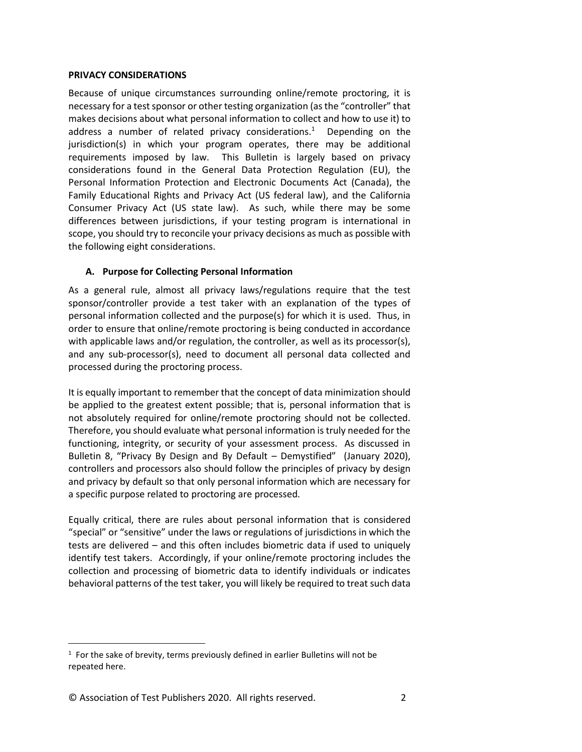### **PRIVACY CONSIDERATIONS**

Because of unique circumstances surrounding online/remote proctoring, it is necessary for a test sponsor or other testing organization (as the "controller" that makes decisions about what personal information to collect and how to use it) to address a number of related privacy considerations.<sup>1</sup> Depending on the jurisdiction(s) in which your program operates, there may be additional requirements imposed by law. This Bulletin is largely based on privacy considerations found in the General Data Protection Regulation (EU), the Personal Information Protection and Electronic Documents Act (Canada), the Family Educational Rights and Privacy Act (US federal law), and the California Consumer Privacy Act (US state law). As such, while there may be some differences between jurisdictions, if your testing program is international in scope, you should try to reconcile your privacy decisions as much as possible with the following eight considerations.

### **A. Purpose for Collecting Personal Information**

As a general rule, almost all privacy laws/regulations require that the test sponsor/controller provide a test taker with an explanation of the types of personal information collected and the purpose(s) for which it is used. Thus, in order to ensure that online/remote proctoring is being conducted in accordance with applicable laws and/or regulation, the controller, as well as its processor(s), and any sub-processor(s), need to document all personal data collected and processed during the proctoring process.

It is equally important to remember that the concept of data minimization should be applied to the greatest extent possible; that is, personal information that is not absolutely required for online/remote proctoring should not be collected. Therefore, you should evaluate what personal information is truly needed for the functioning, integrity, or security of your assessment process. As discussed in Bulletin 8, "Privacy By Design and By Default – Demystified" (January 2020), controllers and processors also should follow the principles of privacy by design and privacy by default so that only personal information which are necessary for a specific purpose related to proctoring are processed.

Equally critical, there are rules about personal information that is considered "special" or "sensitive" under the laws or regulations of jurisdictions in which the tests are delivered – and this often includes biometric data if used to uniquely identify test takers. Accordingly, if your online/remote proctoring includes the collection and processing of biometric data to identify individuals or indicates behavioral patterns of the test taker, you will likely be required to treat such data

 $1$  For the sake of brevity, terms previously defined in earlier Bulletins will not be repeated here.

<sup>©</sup> Association of Test Publishers 2020. All rights reserved. 2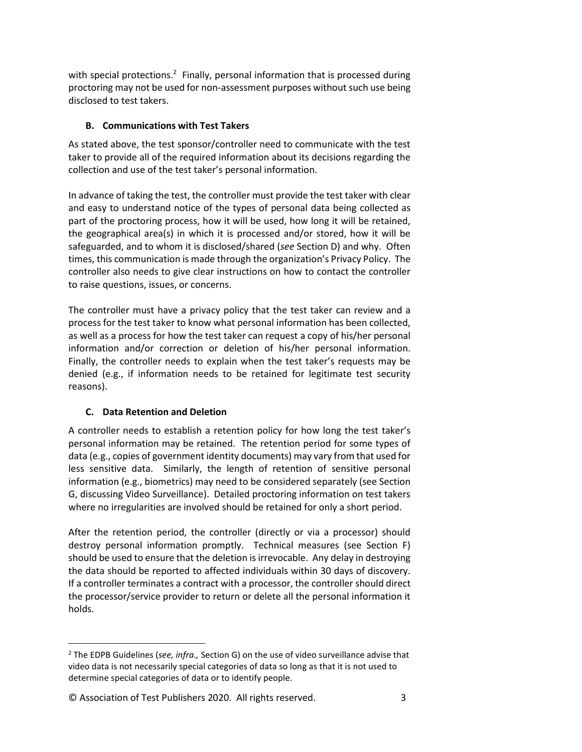with special protections.<sup>2</sup> Finally, personal information that is processed during proctoring may not be used for non-assessment purposes without such use being disclosed to test takers.

# **B. Communications with Test Takers**

As stated above, the test sponsor/controller need to communicate with the test taker to provide all of the required information about its decisions regarding the collection and use of the test taker's personal information.

In advance of taking the test, the controller must provide the test taker with clear and easy to understand notice of the types of personal data being collected as part of the proctoring process, how it will be used, how long it will be retained, the geographical area(s) in which it is processed and/or stored, how it will be safeguarded, and to whom it is disclosed/shared (*see* Section D) and why. Often times, this communication is made through the organization's Privacy Policy. The controller also needs to give clear instructions on how to contact the controller to raise questions, issues, or concerns.

The controller must have a privacy policy that the test taker can review and a process for the test taker to know what personal information has been collected, as well as a process for how the test taker can request a copy of his/her personal information and/or correction or deletion of his/her personal information. Finally, the controller needs to explain when the test taker's requests may be denied (e.g., if information needs to be retained for legitimate test security reasons).

# **C. Data Retention and Deletion**

A controller needs to establish a retention policy for how long the test taker's personal information may be retained. The retention period for some types of data (e.g., copies of government identity documents) may vary from that used for less sensitive data. Similarly, the length of retention of sensitive personal information (e.g., biometrics) may need to be considered separately (see Section G, discussing Video Surveillance). Detailed proctoring information on test takers where no irregularities are involved should be retained for only a short period.

After the retention period, the controller (directly or via a processor) should destroy personal information promptly. Technical measures (see Section F) should be used to ensure that the deletion is irrevocable. Any delay in destroying the data should be reported to affected individuals within 30 days of discovery. If a controller terminates a contract with a processor, the controller should direct the processor/service provider to return or delete all the personal information it holds.

<sup>2</sup> The EDPB Guidelines (*see, infra.,* Section G) on the use of video surveillance advise that video data is not necessarily special categories of data so long as that it is not used to determine special categories of data or to identify people.

<sup>©</sup> Association of Test Publishers 2020. All rights reserved. 3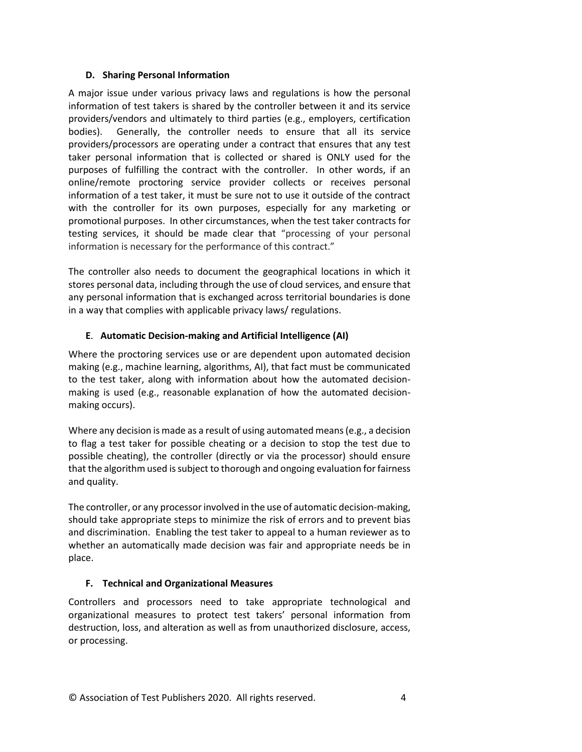### **D. Sharing Personal Information**

A major issue under various privacy laws and regulations is how the personal information of test takers is shared by the controller between it and its service providers/vendors and ultimately to third parties (e.g., employers, certification bodies). Generally, the controller needs to ensure that all its service providers/processors are operating under a contract that ensures that any test taker personal information that is collected or shared is ONLY used for the purposes of fulfilling the contract with the controller. In other words, if an online/remote proctoring service provider collects or receives personal information of a test taker, it must be sure not to use it outside of the contract with the controller for its own purposes, especially for any marketing or promotional purposes. In other circumstances, when the test taker contracts for testing services, it should be made clear that "processing of your personal information is necessary for the performance of this contract."

The controller also needs to document the geographical locations in which it stores personal data, including through the use of cloud services, and ensure that any personal information that is exchanged across territorial boundaries is done in a way that complies with applicable privacy laws/ regulations.

### **E**. **Automatic Decision-making and Artificial Intelligence (AI)**

Where the proctoring services use or are dependent upon automated decision making (e.g., machine learning, algorithms, AI), that fact must be communicated to the test taker, along with information about how the automated decisionmaking is used (e.g., reasonable explanation of how the automated decisionmaking occurs).

Where any decision is made as a result of using automated means (e.g., a decision to flag a test taker for possible cheating or a decision to stop the test due to possible cheating), the controller (directly or via the processor) should ensure that the algorithm used is subject to thorough and ongoing evaluation for fairness and quality.

The controller, or any processor involved in the use of automatic decision-making, should take appropriate steps to minimize the risk of errors and to prevent bias and discrimination. Enabling the test taker to appeal to a human reviewer as to whether an automatically made decision was fair and appropriate needs be in place.

### **F. Technical and Organizational Measures**

Controllers and processors need to take appropriate technological and organizational measures to protect test takers' personal information from destruction, loss, and alteration as well as from unauthorized disclosure, access, or processing.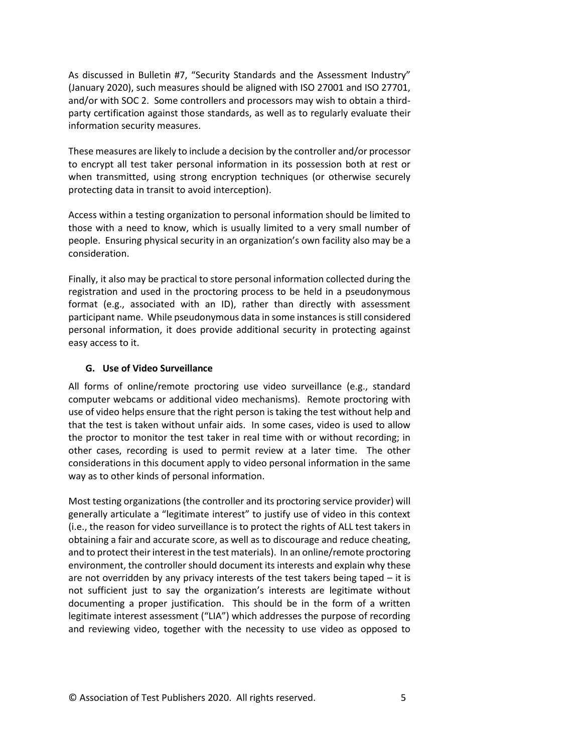As discussed in Bulletin #7, "Security Standards and the Assessment Industry" (January 2020), such measures should be aligned with ISO 27001 and ISO 27701, and/or with SOC 2. Some controllers and processors may wish to obtain a thirdparty certification against those standards, as well as to regularly evaluate their information security measures.

These measures are likely to include a decision by the controller and/or processor to encrypt all test taker personal information in its possession both at rest or when transmitted, using strong encryption techniques (or otherwise securely protecting data in transit to avoid interception).

Access within a testing organization to personal information should be limited to those with a need to know, which is usually limited to a very small number of people. Ensuring physical security in an organization's own facility also may be a consideration.

Finally, it also may be practical to store personal information collected during the registration and used in the proctoring process to be held in a pseudonymous format (e.g., associated with an ID), rather than directly with assessment participant name. While pseudonymous data in some instances is still considered personal information, it does provide additional security in protecting against easy access to it.

### **G. Use of Video Surveillance**

All forms of online/remote proctoring use video surveillance (e.g., standard computer webcams or additional video mechanisms). Remote proctoring with use of video helps ensure that the right person is taking the test without help and that the test is taken without unfair aids. In some cases, video is used to allow the proctor to monitor the test taker in real time with or without recording; in other cases, recording is used to permit review at a later time. The other considerations in this document apply to video personal information in the same way as to other kinds of personal information.

Most testing organizations (the controller and its proctoring service provider) will generally articulate a "legitimate interest" to justify use of video in this context (i.e., the reason for video surveillance is to protect the rights of ALL test takers in obtaining a fair and accurate score, as well as to discourage and reduce cheating, and to protect their interest in the test materials). In an online/remote proctoring environment, the controller should document its interests and explain why these are not overridden by any privacy interests of the test takers being taped  $-$  it is not sufficient just to say the organization's interests are legitimate without documenting a proper justification. This should be in the form of a written legitimate interest assessment ("LIA") which addresses the purpose of recording and reviewing video, together with the necessity to use video as opposed to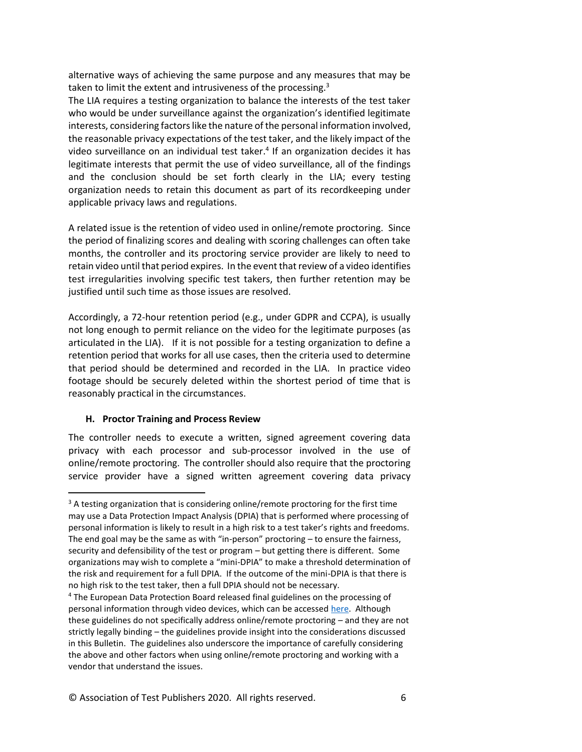alternative ways of achieving the same purpose and any measures that may be taken to limit the extent and intrusiveness of the processing.<sup>3</sup>

The LIA requires a testing organization to balance the interests of the test taker who would be under surveillance against the organization's identified legitimate interests, considering factors like the nature of the personal information involved, the reasonable privacy expectations of the test taker, and the likely impact of the video surveillance on an individual test taker.<sup>4</sup> If an organization decides it has legitimate interests that permit the use of video surveillance, all of the findings and the conclusion should be set forth clearly in the LIA; every testing organization needs to retain this document as part of its recordkeeping under applicable privacy laws and regulations.

A related issue is the retention of video used in online/remote proctoring. Since the period of finalizing scores and dealing with scoring challenges can often take months, the controller and its proctoring service provider are likely to need to retain video until that period expires. In the event that review of a video identifies test irregularities involving specific test takers, then further retention may be justified until such time as those issues are resolved.

Accordingly, a 72-hour retention period (e.g., under GDPR and CCPA), is usually not long enough to permit reliance on the video for the legitimate purposes (as articulated in the LIA). If it is not possible for a testing organization to define a retention period that works for all use cases, then the criteria used to determine that period should be determined and recorded in the LIA. In practice video footage should be securely deleted within the shortest period of time that is reasonably practical in the circumstances.

### **H. Proctor Training and Process Review**

The controller needs to execute a written, signed agreement covering data privacy with each processor and sub-processor involved in the use of online/remote proctoring. The controller should also require that the proctoring service provider have a signed written agreement covering data privacy

 $3$  A testing organization that is considering online/remote proctoring for the first time may use a Data Protection Impact Analysis (DPIA) that is performed where processing of personal information is likely to result in a high risk to a test taker's rights and freedoms. The end goal may be the same as with "in-person" proctoring  $-$  to ensure the fairness, security and defensibility of the test or program – but getting there is different. Some organizations may wish to complete a "mini-DPIA" to make a threshold determination of the risk and requirement for a full DPIA. If the outcome of the mini-DPIA is that there is no high risk to the test taker, then a full DPIA should not be necessary.

<sup>4</sup> The European Data Protection Board released final guidelines on the processing of personal information through video devices, which can be accessed [here.](https://edpb.europa.eu/our-work-tools/our-documents/guidelines/guidelines-32019-processing-personal-data-through-video_en) Although these guidelines do not specifically address online/remote proctoring – and they are not strictly legally binding – the guidelines provide insight into the considerations discussed in this Bulletin. The guidelines also underscore the importance of carefully considering the above and other factors when using online/remote proctoring and working with a vendor that understand the issues.